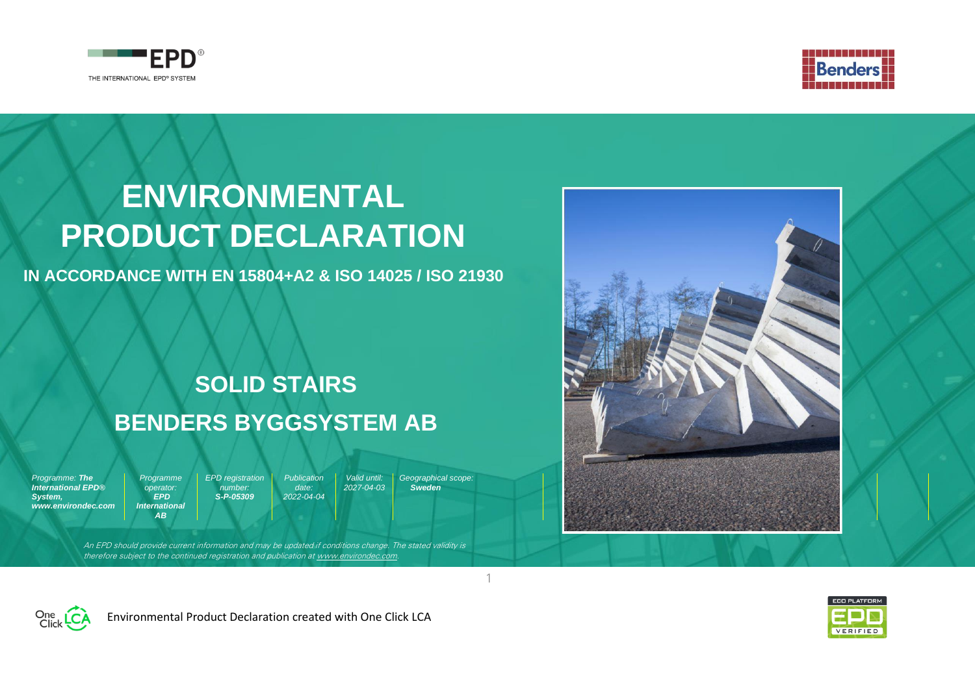



# **ENVIRONMENTAL PRODUCT DECLARATION**

**IN ACCORDANCE WITH EN 15804+A2 & ISO 14025 / ISO 21930**

# **SOLID STAIRS BENDERS BYGGSYSTEM AB**

*Programme: The International EPD® System, www.environdec.com* *EPD registration number: S-P-05309*

*Programme operator: EPD International AB*

*Publication date: 2022-04-04 Valid until: 2027-04-03*

*Geographical scope: Sweden*

1

An EPD should provide current information and may be updated if conditions change. The stated validity is therefore subject to the continued registration and publication a[t www.environdec.com.](http://www.environdec.com/)







Environmental Product Declaration created with One Click LCA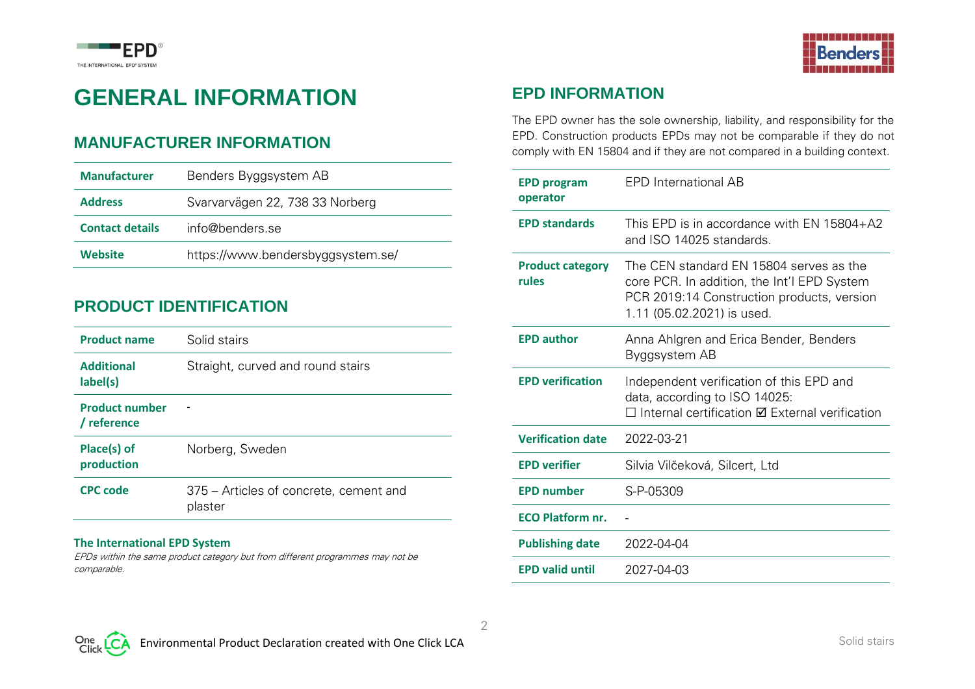



# **GENERAL INFORMATION**

#### **MANUFACTURER INFORMATION**

| <b>Manufacturer</b>    | Benders Byggsystem AB             |
|------------------------|-----------------------------------|
| <b>Address</b>         | Svarvarvägen 22, 738 33 Norberg   |
| <b>Contact details</b> | info@benders.se                   |
| Website                | https://www.bendersbyggsystem.se/ |

#### **PRODUCT IDENTIFICATION**

| <b>Product name</b>                  | Solid stairs                                      |
|--------------------------------------|---------------------------------------------------|
| <b>Additional</b><br>label(s)        | Straight, curved and round stairs                 |
| <b>Product number</b><br>/ reference |                                                   |
| Place(s) of<br>production            | Norberg, Sweden                                   |
| <b>CPC code</b>                      | 375 – Articles of concrete, cement and<br>plaster |

#### **The International EPD System**

EPDs within the same product category but from different programmes may not be comparable.

#### **EPD INFORMATION**

The EPD owner has the sole ownership, liability, and responsibility for the EPD. Construction products EPDs may not be comparable if they do not comply with EN 15804 and if they are not compared in a building context.

| <b>EPD program</b><br>operator   | <b>EPD</b> International AB                                                                                                                                        |
|----------------------------------|--------------------------------------------------------------------------------------------------------------------------------------------------------------------|
| <b>EPD standards</b>             | This EPD is in accordance with EN 15804+A2<br>and ISO 14025 standards.                                                                                             |
| <b>Product category</b><br>rules | The CEN standard EN 15804 serves as the<br>core PCR. In addition, the Int'l EPD System<br>PCR 2019:14 Construction products, version<br>1.11 (05.02.2021) is used. |
| <b>EPD author</b>                | Anna Ahlgren and Erica Bender, Benders<br>Byggsystem AB                                                                                                            |
| <b>EPD verification</b>          | Independent verification of this EPD and<br>data, according to ISO 14025:<br>$\Box$ Internal certification $\Box$ External verification                            |
| <b>Verification date</b>         | 2022-03-21                                                                                                                                                         |
| <b>EPD verifier</b>              | Silvia Vilčeková, Silcert, Ltd                                                                                                                                     |
| <b>EPD number</b>                | S-P-05309                                                                                                                                                          |
| <b>ECO Platform nr.</b>          |                                                                                                                                                                    |
| <b>Publishing date</b>           | 2022-04-04                                                                                                                                                         |
| <b>EPD valid until</b>           | 2027-04-03                                                                                                                                                         |

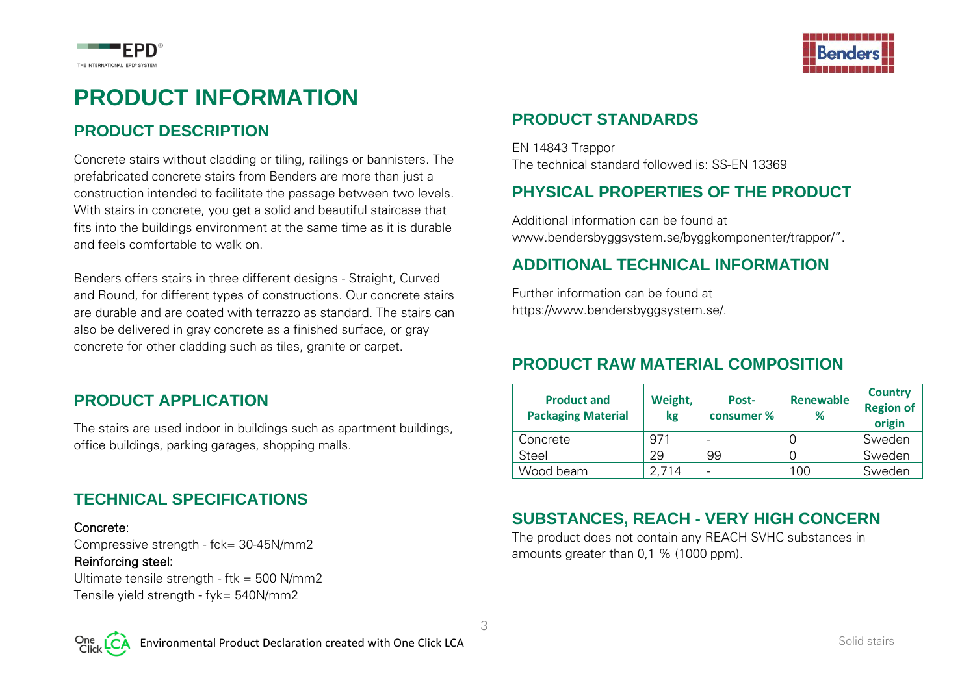



### **PRODUCT INFORMATION**

#### **PRODUCT DESCRIPTION**

Concrete stairs without cladding or tiling, railings or bannisters. The prefabricated concrete stairs from Benders are more than just a construction intended to facilitate the passage between two levels. With stairs in concrete, you get a solid and beautiful staircase that fits into the buildings environment at the same time as it is durable and feels comfortable to walk on.

Benders offers stairs in three different designs - Straight, Curved and Round, for different types of constructions. Our concrete stairs are durable and are coated with terrazzo as standard. The stairs can also be delivered in gray concrete as a finished surface, or gray concrete for other cladding such as tiles, granite or carpet.

#### **PRODUCT APPLICATION**

The stairs are used indoor in buildings such as apartment buildings, office buildings, parking garages, shopping malls.

#### **TECHNICAL SPECIFICATIONS**

#### Concrete:

Compressive strength - fck= 30-45N/mm2

#### Reinforcing steel:

Ultimate tensile strength - ftk = 500 N/mm2 Tensile yield strength - fyk= 540N/mm2

### **PRODUCT STANDARDS**

EN 14843 Trappor The technical standard followed is: SS-EN 13369

#### **PHYSICAL PROPERTIES OF THE PRODUCT**

Additional information can be found at www.bendersbyggsystem.se/byggkomponenter/trappor/".

#### **ADDITIONAL TECHNICAL INFORMATION**

Further information can be found at https://www.bendersbyggsystem.se/.

#### **PRODUCT RAW MATERIAL COMPOSITION**

| <b>Product and</b><br><b>Packaging Material</b> | Weight,<br>kg | Post-<br>consumer % | <b>Renewable</b><br>℅ | <b>Country</b><br><b>Region of</b><br>origin |
|-------------------------------------------------|---------------|---------------------|-----------------------|----------------------------------------------|
| Concrete                                        | 971           |                     |                       | Sweden                                       |
| Steel                                           | 29            | 99                  |                       | Sweden                                       |
| Wood beam                                       | 2.714         |                     | 00 ا                  | Sweden                                       |

#### **SUBSTANCES, REACH - VERY HIGH CONCERN**

The product does not contain any REACH SVHC substances in amounts greater than 0,1 % (1000 ppm).



3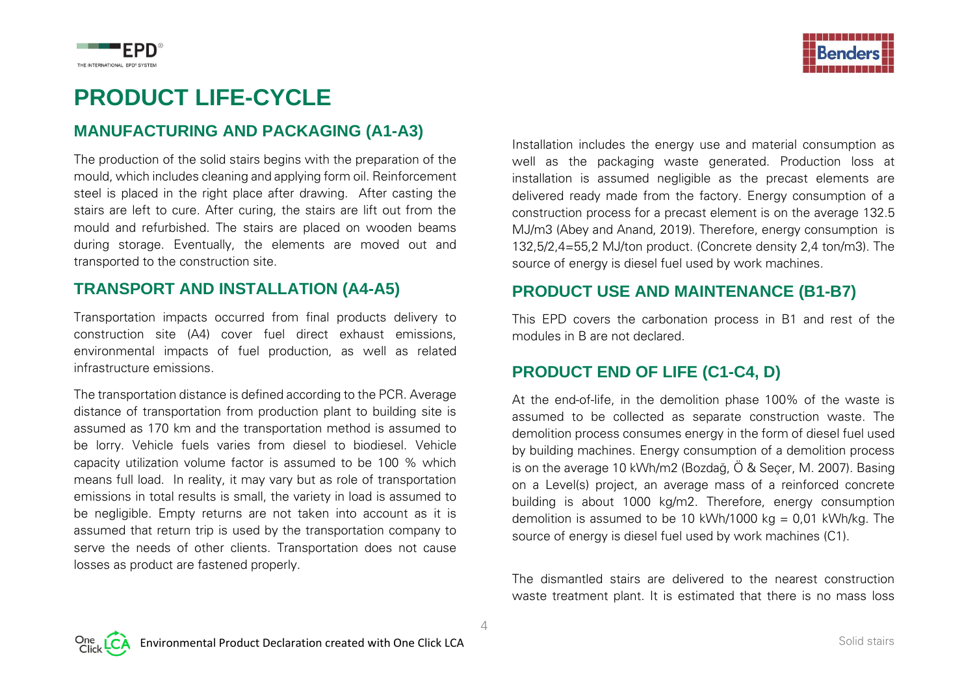



### **PRODUCT LIFE-CYCLE**

#### **MANUFACTURING AND PACKAGING (A1-A3)**

The production of the solid stairs begins with the preparation of the mould, which includes cleaning and applying form oil. Reinforcement steel is placed in the right place after drawing. After casting the stairs are left to cure. After curing, the stairs are lift out from the mould and refurbished. The stairs are placed on wooden beams during storage. Eventually, the elements are moved out and transported to the construction site.

#### **TRANSPORT AND INSTALLATION (A4-A5)**

Transportation impacts occurred from final products delivery to construction site (A4) cover fuel direct exhaust emissions, environmental impacts of fuel production, as well as related infrastructure emissions.

The transportation distance is defined according to the PCR. Average distance of transportation from production plant to building site is assumed as 170 km and the transportation method is assumed to be lorry. Vehicle fuels varies from diesel to biodiesel. Vehicle capacity utilization volume factor is assumed to be 100 % which means full load. In reality, it may vary but as role of transportation emissions in total results is small, the variety in load is assumed to be negligible. Empty returns are not taken into account as it is assumed that return trip is used by the transportation company to serve the needs of other clients. Transportation does not cause losses as product are fastened properly.

Installation includes the energy use and material consumption as well as the packaging waste generated. Production loss at installation is assumed negligible as the precast elements are delivered ready made from the factory. Energy consumption of a construction process for a precast element is on the average 132.5 MJ/m3 (Abey and Anand, 2019). Therefore, energy consumption is 132,5/2,4=55,2 MJ/ton product. (Concrete density 2,4 ton/m3). The source of energy is diesel fuel used by work machines.

#### **PRODUCT USE AND MAINTENANCE (B1-B7)**

This EPD covers the carbonation process in B1 and rest of the modules in B are not declared.

#### **PRODUCT END OF LIFE (C1-C4, D)**

At the end-of-life, in the demolition phase 100% of the waste is assumed to be collected as separate construction waste. The demolition process consumes energy in the form of diesel fuel used by building machines. Energy consumption of a demolition process is on the average 10 kWh/m2 (Bozdağ, Ö & Seçer, M. 2007). Basing on a Level(s) project, an average mass of a reinforced concrete building is about 1000 kg/m2. Therefore, energy consumption demolition is assumed to be 10 kWh/1000 kg =  $0.01$  kWh/kg. The source of energy is diesel fuel used by work machines (C1).

The dismantled stairs are delivered to the nearest construction waste treatment plant. It is estimated that there is no mass loss

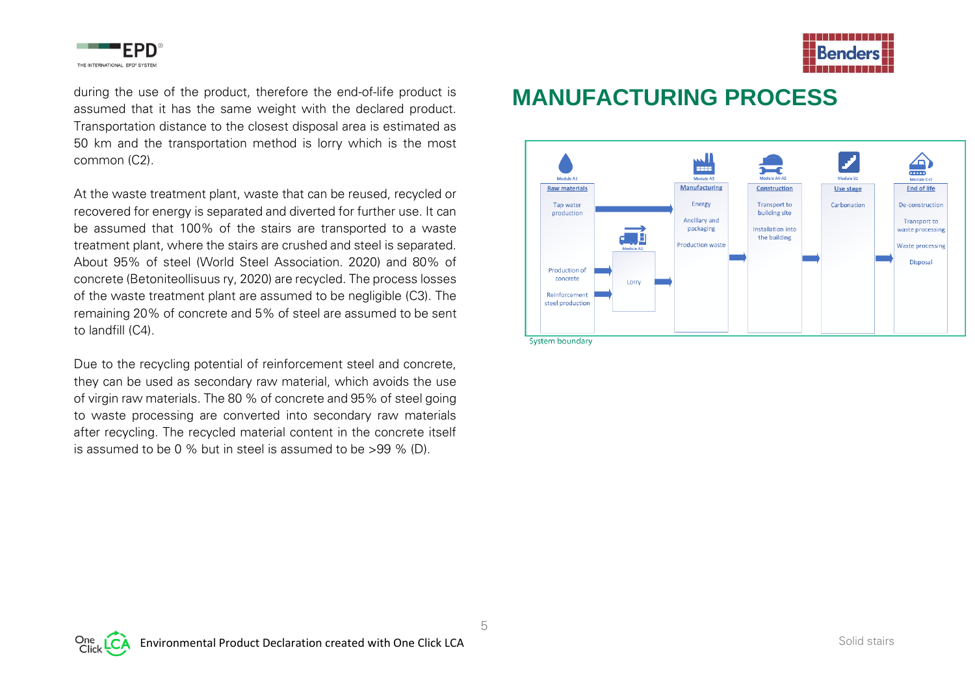



during the use of the product, therefore the end-of-life product is assumed that it has the same weight with the declared product. Transportation distance to the closest disposal area is estimated as 50 km and the transportation method is lorry which is the most common (C2).

At the waste treatment plant, waste that can be reused, recycled or recovered for energy is separated and diverted for further use. It can be assumed that 100% of the stairs are transported to a waste treatment plant, where the stairs are crushed and steel is separated. About 95% of steel (World Steel Association. 2020) and 80% of concrete (Betoniteollisuus ry, 2020) are recycled. The process losses of the waste treatment plant are assumed to be negligible (C3). The remaining 20% of concrete and 5% of steel are assumed to be sent to landfill (C4).

Due to the recycling potential of reinforcement steel and concrete, they can be used as secondary raw material, which avoids the use of virgin raw materials. The 80 % of concrete and 95% of steel going to waste processing are converted into secondary raw materials after recycling. The recycled material content in the concrete itself is assumed to be 0 % but in steel is assumed to be >99 % (D).

### **MANUFACTURING PROCESS**

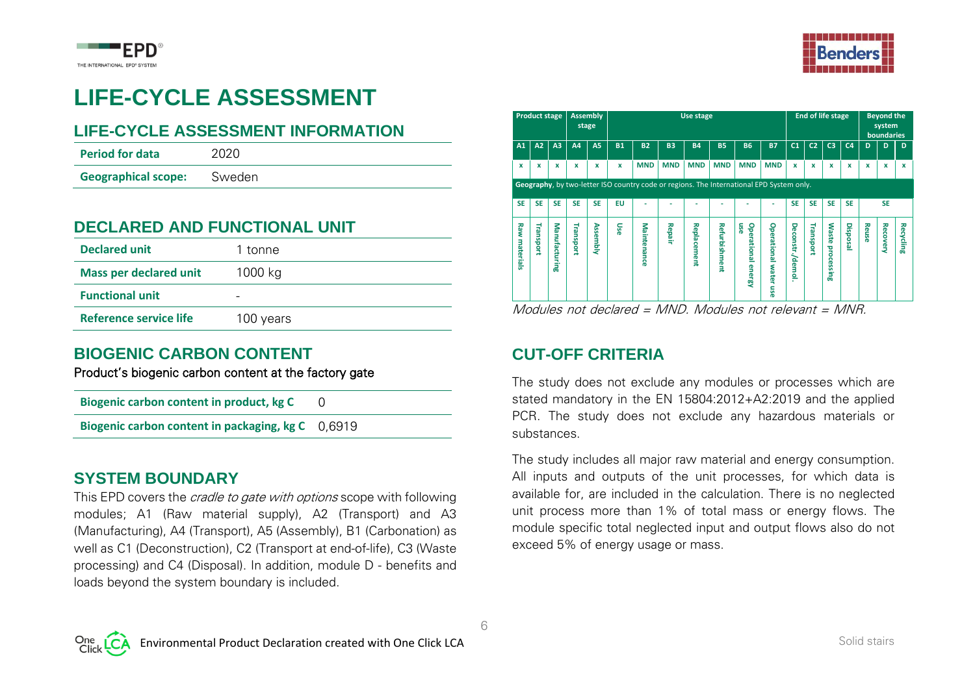



# **LIFE-CYCLE ASSESSMENT**

#### **LIFE-CYCLE ASSESSMENT INFORMATION**

| <b>Period for data</b>     | 2020   |
|----------------------------|--------|
| <b>Geographical scope:</b> | Sweden |

#### **DECLARED AND FUNCTIONAL UNIT**

| <b>Declared unit</b>          | 1 tonne   |
|-------------------------------|-----------|
| <b>Mass per declared unit</b> | 1000 kg   |
| <b>Functional unit</b>        | -         |
| <b>Reference service life</b> | 100 years |

#### **BIOGENIC CARBON CONTENT**

Product's biogenic carbon content at the factory gate

**Biogenic carbon content in product, kg C** 0

**Biogenic carbon content in packaging, kg C** 0,6919

#### **SYSTEM BOUNDARY**

This EPD covers the *cradle to gate with options* scope with following modules; A1 (Raw material supply), A2 (Transport) and A3 (Manufacturing), A4 (Transport), A5 (Assembly), B1 (Carbonation) as well as C1 (Deconstruction), C2 (Transport at end-of-life), C3 (Waste processing) and C4 (Disposal). In addition, module D - benefits and loads beyond the system boundary is included.

|                  | <b>Product stage</b>     |                | <b>Assembly</b><br>stage                        |           |           |                                                                                          |                          | Use stage                   |                                    |                                            |                       |                                  | <b>End of life stage</b> |                                 |                 |       | <b>Beyond the</b><br>system<br><b>boundaries</b> |           |  |  |  |
|------------------|--------------------------|----------------|-------------------------------------------------|-----------|-----------|------------------------------------------------------------------------------------------|--------------------------|-----------------------------|------------------------------------|--------------------------------------------|-----------------------|----------------------------------|--------------------------|---------------------------------|-----------------|-------|--------------------------------------------------|-----------|--|--|--|
| A1               | A2                       | A <sub>3</sub> | A4                                              | <b>A5</b> | <b>B1</b> | <b>B2</b>                                                                                | <b>B3</b>                | <b>B4</b>                   | <b>B5</b>                          | <b>B6</b>                                  | <b>B7</b>             | C <sub>1</sub>                   | C <sub>2</sub>           | C <sub>3</sub>                  | C <sub>4</sub>  | D     | D                                                | D         |  |  |  |
| x                | x                        | x              | x                                               | x         | x         | <b>MND</b>                                                                               | <b>MND</b>               | <b>MND</b>                  | <b>MND</b>                         | <b>MND</b>                                 | <b>MND</b>            | $\boldsymbol{x}$                 | x                        | x                               | x               | x     | x                                                | x         |  |  |  |
|                  |                          |                |                                                 |           |           | Geography, by two-letter ISO country code or regions. The International EPD System only. |                          |                             |                                    |                                            |                       |                                  |                          |                                 |                 |       |                                                  |           |  |  |  |
| <b>SE</b>        | <b>SE</b>                | <b>SE</b>      | <b>SE</b>                                       | <b>SE</b> | <b>EU</b> |                                                                                          |                          |                             |                                    |                                            |                       | <b>SE</b>                        | <b>SE</b>                | <b>SE</b>                       | <b>SE</b>       |       | <b>SE</b>                                        |           |  |  |  |
| Raw<br>materials | ₹<br>prodsue<br>$\cdots$ | Manufacturing  | Transport<br>$\sim$ $\sim$ $\sim$ $\sim$ $\sim$ | Assembly  | use       | Maintenance<br>$\mathbf{r}$                                                              | Repair<br>$\overline{a}$ | Replacement<br>$\mathbf{A}$ | <b>Refurbishment</b><br>$\sqrt{ }$ | use<br><b>Operational</b><br><b>energy</b> | Operational water use | Deconstr./demol.<br>$\mathbf{r}$ | Transport                | <b>Waste</b><br>processin<br>00 | Disposa<br>5.11 | Reuse | <b>Recovery</b>                                  | Recycling |  |  |  |

Modules not declared = MND. Modules not relevant = MNR.

#### **CUT-OFF CRITERIA**

The study does not exclude any modules or processes which are stated mandatory in the EN 15804:2012+A2:2019 and the applied PCR. The study does not exclude any hazardous materials or substances.

The study includes all major raw material and energy consumption. All inputs and outputs of the unit processes, for which data is available for, are included in the calculation. There is no neglected unit process more than 1% of total mass or energy flows. The module specific total neglected input and output flows also do not exceed 5% of energy usage or mass.

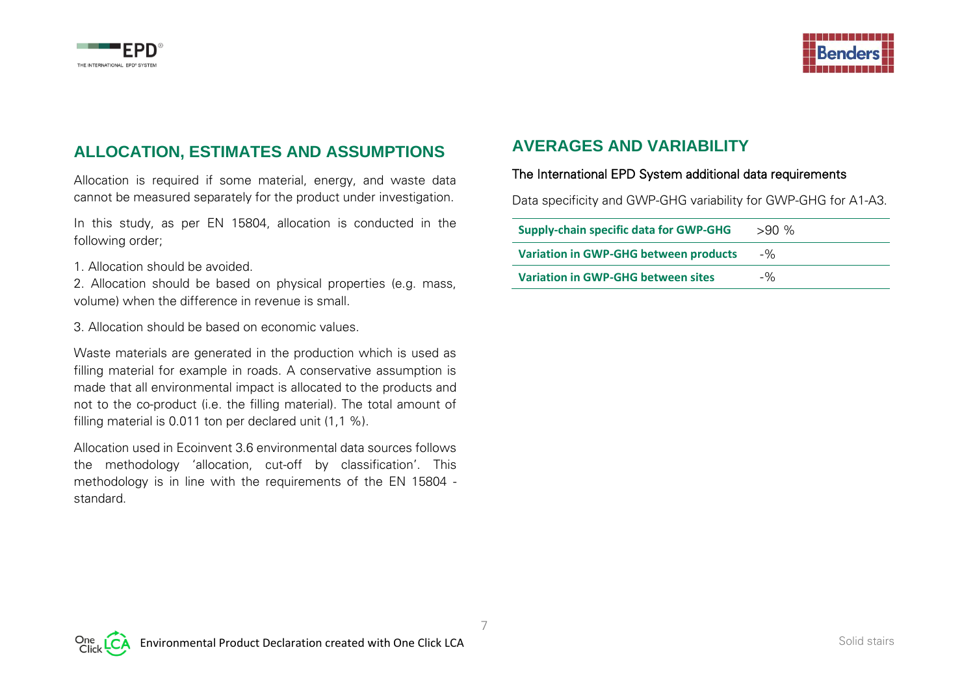



### **ALLOCATION, ESTIMATES AND ASSUMPTIONS**

Allocation is required if some material, energy, and waste data cannot be measured separately for the product under investigation.

In this study, as per EN 15804, allocation is conducted in the following order;

1. Allocation should be avoided.

2. Allocation should be based on physical properties (e.g. mass, volume) when the difference in revenue is small.

3. Allocation should be based on economic values.

Waste materials are generated in the production which is used as filling material for example in roads. A conservative assumption is made that all environmental impact is allocated to the products and not to the co-product (i.e. the filling material). The total amount of filling material is 0.011 ton per declared unit (1,1 %).

Allocation used in Ecoinvent 3.6 environmental data sources follows the methodology 'allocation, cut-off by classification'. This methodology is in line with the requirements of the EN 15804 standard.

#### **AVERAGES AND VARIABILITY**

The International EPD System additional data requirements

Data specificity and GWP-GHG variability for GWP-GHG for A1-A3.

| <b>Supply-chain specific data for GWP-GHG</b> | $>90\%$ |
|-----------------------------------------------|---------|
| <b>Variation in GWP-GHG between products</b>  | $-90$   |
| <b>Variation in GWP-GHG between sites</b>     | $-90$   |

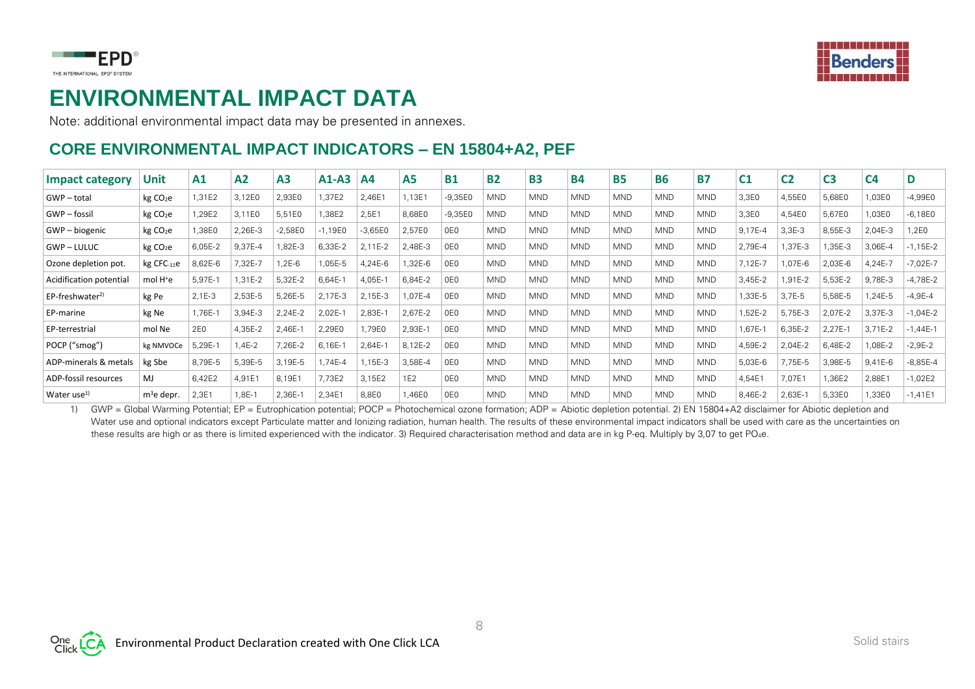

## THE INTERNATIONAL EPD<sup>®</sup> SYSTEM

### **ENVIRONMENTAL IMPACT DATA**

Note: additional environmental impact data may be presented in annexes.

### **CORE ENVIRONMENTAL IMPACT INDICATORS – EN 15804+A2, PEF**

| <b>Impact category</b>  | Unit                 | A1       | A <sub>2</sub> | A <sub>3</sub> | $A1-A3$   | A <sub>4</sub> | <b>A5</b>       | <b>B1</b> | <b>B2</b>  | <b>B3</b>  | <b>B4</b>  | <b>B5</b>  | <b>B6</b>  | <b>B7</b>  | C <sub>1</sub> | C <sub>2</sub> | C <sub>3</sub> | C <sub>4</sub> | D            |
|-------------------------|----------------------|----------|----------------|----------------|-----------|----------------|-----------------|-----------|------------|------------|------------|------------|------------|------------|----------------|----------------|----------------|----------------|--------------|
| GWP-total               | kg CO <sub>2</sub> e | 1,31E2   | 3,12E0         | 2,93E0         | 1,37E2    | 2,46E1         | 1,13E1          | $-9,35E0$ | <b>MND</b> | <b>MND</b> | <b>MND</b> | <b>MND</b> | <b>MND</b> | <b>MND</b> | 3,3E0          | 4,55E0         | 5,68E0         | ,03E0          | $-4,99E0$    |
| GWP-fossil              | kg CO <sub>2</sub> e | 1,29E2   | 3,11E0         | 5,51E0         | ,38E2     | 2,5E1          | 8,68E0          | $-9,35E0$ | <b>MND</b> | <b>MND</b> | <b>MND</b> | <b>MND</b> | <b>MND</b> | <b>MND</b> | 3,3E0          | 4,54E0         | 5,67E0         | 03E0,          | $-6,18E0$    |
| GWP – biogenic          | kg CO <sub>2</sub> e | 1,38E0   | 2,26E-3        | $-2,58E0$      | $-1,19E0$ | $-3,65E0$      | 2,57E0          | 0E0       | <b>MND</b> | <b>MND</b> | <b>MND</b> | <b>MND</b> | <b>MND</b> | <b>MND</b> | 9,17E-4        | $3,3E-3$       | 8,55E-3        | 2,04E-3        | 1,2E0        |
| <b>GWP-LULUC</b>        | kg CO <sub>2</sub> e | 6,05E-2  | 9,37E-4        | 82E-3          | 6,33E-2   | $2.11E-2$      | 2.48E-3         | 0E0       | <b>MND</b> | <b>MND</b> | <b>MND</b> | <b>MND</b> | <b>MND</b> | <b>MND</b> | 2,79E-4        | ,37E-3         | 1,35E-3        | 3,06E-4        | $-1,15E-2$   |
| Ozone depletion pot.    | $kg$ CFC $-11e$      | 8,62E-6  | 7,32E-7        | .2E-6          | 1,05E-5   | 4,24E-6        | 1,32E-6         | 0E0       | <b>MND</b> | <b>MND</b> | <b>MND</b> | <b>MND</b> | <b>MND</b> | <b>MND</b> | 7,12E-7        | ,07E-6         | 2,03E-6        | 4,24E-7        | $-7,02E-7$   |
| Acidification potential | mol H <sup>+</sup> e | 5.97E-1  | 1,31E-2        | 5,32E-2        | $6,64E-$  | 4,05E-1        | 6,84E-2         | 0E0       | <b>MND</b> | <b>MND</b> | <b>MND</b> | <b>MND</b> | <b>MND</b> | <b>MND</b> | 3,45E-2        | ,91E-2         | 5,53E-2        | 9,78E-3        | $-4,78E-2$   |
| $EP-freeshwater^{2}$    | kg Pe                | $2,1E-3$ | 2,53E-5        | 5,26E-5        | 2,17E-3   | 2,15E-3        | 07E-4           | 0E0       | <b>MND</b> | <b>MND</b> | <b>MND</b> | <b>MND</b> | <b>MND</b> | <b>MND</b> | 1,33E-5        | $3,7E-5$       | 5,58E-5        | .24E-5         | $-4,9E-4$    |
| EP-marine               | kg Ne                | 1,76E-1  | 3,94E-3        | 2,24E-2        | $2,02E-$  | 2,83E-1        | 2,67E-2         | 0E0       | <b>MND</b> | <b>MND</b> | <b>MND</b> | <b>MND</b> | <b>MND</b> | <b>MND</b> | 1,52E-2        | 5,75E-3        | 2,07E-2        | 3,37E-3        | $-1,04E-2$   |
| EP-terrestrial          | mol Ne               | 2E0      | 4,35E-2        | 2,46E-1        | 2,29E0    | ,79E0          | 2,93E-1         | 0E0       | <b>MND</b> | <b>MND</b> | <b>MND</b> | <b>MND</b> | <b>MND</b> | <b>MND</b> | 1,67E-1        | 6,35E-2        | 2,27E-1        | 3,71E-2        | $-1,44E-1$   |
| POCP ("smog")           | kg NMVOCe            | 5,29E-1  | 1,4E-2         | 7,26E-2        | $6,16E-$  | 2,64E-1        | 8,12E-2         | 0E0       | <b>MND</b> | <b>MND</b> | <b>MND</b> | <b>MND</b> | <b>MND</b> | <b>MND</b> | 4,59E-2        | 2,04E-2        | 6,48E-2        | .08E-2         | $-2,9E-2$    |
| ADP-minerals & metals   | kg Sbe               | 8,79E-5  | 5,39E-5        | 3,19E-5        | ,74E-4    | ,15E-3         | 3,58E-4         | 0E0       | <b>MND</b> | <b>MND</b> | <b>MND</b> | <b>MND</b> | <b>MND</b> | <b>MND</b> | 5,03E-6        | 7,75E-5        | 3,98E-5        | $9,41E-6$      | $-8.85E - 4$ |
| ADP-fossil resources    | MJ.                  | 6,42E2   | 4,91E1         | 8,19E1         | 7,73E2    | 3,15E2         | 1E <sub>2</sub> | 0E0       | <b>MND</b> | <b>MND</b> | <b>MND</b> | <b>MND</b> | <b>MND</b> | <b>MND</b> | 4,54E1         | 7,07E1         | 1,36E2         | 2,88E1         | $-1,02E2$    |
| Water use $^{1)}$       | $m^3$ e depr.        | 2,3E1    | 1,8E-1         | 2,36E-1        | 2,34E1    | 8,8E0          | 1,46E0          | 0E0       | <b>MND</b> | <b>MND</b> | <b>MND</b> | <b>MND</b> | <b>MND</b> | <b>MND</b> | 8,46E-2        | 2,63E-1        | 5,33E0         | ,33E0          | $-1,41E1$    |

1) GWP = Global Warming Potential; EP = Eutrophication potential; POCP = Photochemical ozone formation; ADP = Abiotic depletion potential. 2) EN 15804+A2 disclaimer for Abiotic depletion and Water use and optional indicators except Particulate matter and Ionizing radiation, human health. The results of these environmental impact indicators shall be used with care as the uncertainties on these results are high or as there is limited experienced with the indicator. 3) Required characterisation method and data are in kg P-eq. Multiply by 3,07 to get PO4e.

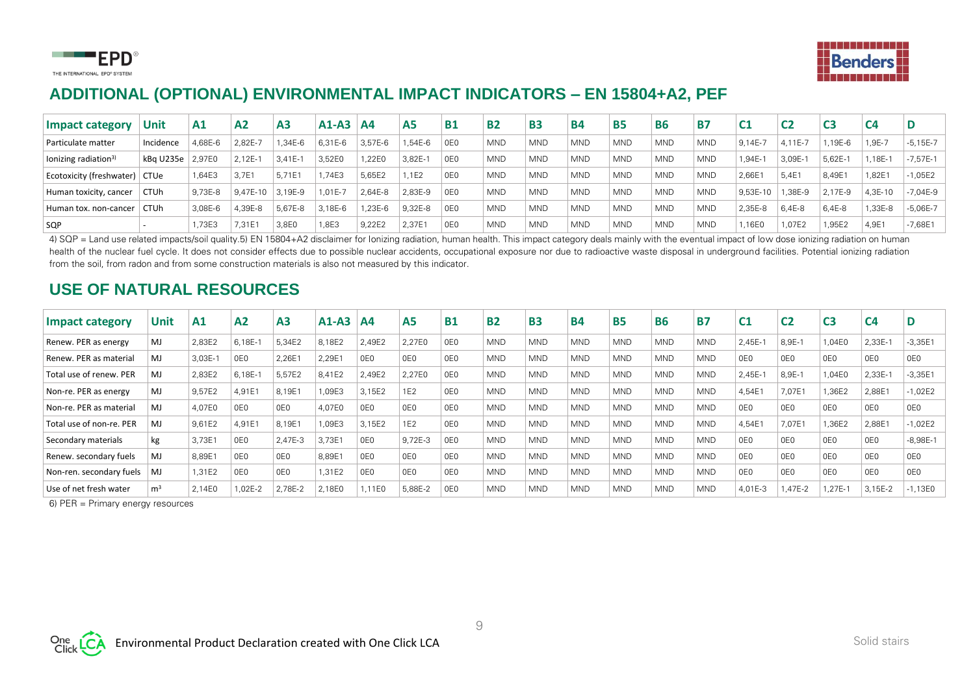



### **ADDITIONAL (OPTIONAL) ENVIRONMENTAL IMPACT INDICATORS – EN 15804+A2, PEF**

| <b>Impact category</b>           | Unit                   | A1      | A <sub>2</sub> | A <sub>3</sub> | $A1-A3$    | <b>A4</b> | A <sub>5</sub> | <b>B1</b> | <b>B2</b>  | <b>B3</b>  | <b>B4</b>  | <b>B5</b>  | <b>B6</b>  | <b>B7</b>  | C <sub>1</sub> | C <sub>2</sub> | C3        |           |            |
|----------------------------------|------------------------|---------|----------------|----------------|------------|-----------|----------------|-----------|------------|------------|------------|------------|------------|------------|----------------|----------------|-----------|-----------|------------|
| Particulate matter               | Incidence              | 4.68E-6 | $2.82E -$      | $.34E - 6$     | 6.31E-6    | 3.57E-6   | 1.54E-6        | 0E0       | <b>MND</b> | <b>MND</b> | <b>MND</b> | <b>MND</b> | <b>MND</b> | <b>MND</b> | $9.14E -$      | 4.11E-7        | ,19E-6    | $.9E - 7$ | $-5,15E-7$ |
| lonizing radiation <sup>3)</sup> | $kBq$ U235e            | 2.97E0  | $2.12E -$      | $3.41E - 1$    | 3,52E0     | 1,22E0    | 3,82E-1        | 0E0       | <b>MND</b> | <b>MND</b> | <b>MND</b> | <b>MND</b> | <b>MND</b> | <b>MND</b> | $1,94E-1$      | 3,09E-1        | $5.62E -$ | $.18E-1$  | $-7,57E-1$ |
| Ecotoxicity (freshwater) CTUe    |                        | ,64E3   | 3.7E1          | 5.71E1         | .74E3      | 5.65E2    | 1.1E2          | 0E0       | <b>MND</b> | <b>MND</b> | <b>MND</b> | <b>MND</b> | <b>MND</b> | <b>MND</b> | 2.66E'         | 5.4E1          | 8.49E1    | .82E1     | $-1,05E2$  |
| Human toxicity, cancer           | <b>CTU<sub>h</sub></b> | 9.73E-8 | $9.47E-10$     | 3.19E-9        | $.01E - 7$ | 2.64E-8   | 2.83E-9        | 0E0       | <b>MND</b> | <b>MND</b> | <b>MND</b> | <b>MND</b> | <b>MND</b> | <b>MND</b> | 9.53E-10       | .38E-9         | 2.17E-9   | 4.3E-10   | $-7,04E-9$ |
| Human tox, non-cancer            | CTUh                   | 3.08E-6 | 4.39E-8        | 5.67E-8        | 3.18E-6    | .23E-6    | 9.32E-8        | 0E0       | <b>MND</b> | <b>MND</b> | <b>MND</b> | <b>MND</b> | <b>MND</b> | <b>MND</b> | 2.35E-8        | $6,4E-8$       | 6.4E-8    | ,33E-8    | $-5,06E-7$ |
| SQP                              |                        | .73E3   | 7.31E1         | 3.8E0          | 1.8E3      | 9.22E2    | 2.37E1         | 0E0       | <b>MND</b> | <b>MND</b> | <b>MND</b> | <b>MND</b> | <b>MND</b> | <b>MND</b> | .16EC          | 1.07E2         | 1.95E2    | 4.9E1     | $-7.68E1$  |

4) SQP = Land use related impacts/soil quality.5) EN 15804+A2 disclaimer for Ionizing radiation, human health. This impact category deals mainly with the eventual impact of low dose ionizing radiation on human health of the nuclear fuel cycle. It does not consider effects due to possible nuclear accidents, occupational exposure nor due to radioactive waste disposal in underground facilities. Potential ionizing radiation from the soil, from radon and from some construction materials is also not measured by this indicator.

#### **USE OF NATURAL RESOURCES**

| <b>Impact category</b>   | Unit           | A1      | A <sub>2</sub>  | A <sub>3</sub>  | $A1-A3$ | A <sub>4</sub>  | A5              | <b>B1</b>       | <b>B2</b>  | <b>B3</b>  | <b>B4</b>  | <b>B5</b>  | <b>B6</b>  | <b>B7</b>  | C <sub>1</sub>  | C2              | C3              | C <sub>4</sub>  | D               |
|--------------------------|----------------|---------|-----------------|-----------------|---------|-----------------|-----------------|-----------------|------------|------------|------------|------------|------------|------------|-----------------|-----------------|-----------------|-----------------|-----------------|
| Renew. PER as energy     | MJ             | 2,83E2  | $6,18E-$        | 5,34E2          | 8,18E2  | 2,49E2          | 2,27E0          | 0E <sub>0</sub> | <b>MND</b> | <b>MND</b> | <b>MND</b> | <b>MND</b> | <b>MND</b> | <b>MND</b> | $2,45E-$        | 8,9E-1          | 1,04E0          | $2,33E-7$       | $-3,35E1$       |
| Renew. PER as material   | MJ             | 3,03E-1 | 0E <sub>0</sub> | 2,26E1          | 2,29E1  | 0E <sub>0</sub> | 0E0             | 0E <sub>0</sub> | <b>MND</b> | <b>MND</b> | <b>MND</b> | <b>MND</b> | <b>MND</b> | <b>MND</b> | 0E <sub>0</sub> | 0E0             | 0E <sub>0</sub> | 0E0             | 0E0             |
| Total use of renew. PER  | MJ             | 2,83E2  | $6,18E-$        | 5,57E2          | 8,41E2  | 2,49E2          | 2,27E0          | 0E0             | <b>MND</b> | <b>MND</b> | <b>MND</b> | <b>MND</b> | <b>MND</b> | <b>MND</b> | 2,45E-1         | 8,9E-1          | 1,04E0          | 2,33E-1         | $-3,35E1$       |
| Non-re. PER as energy    | MJ             | 9,57E2  | 4,91E1          | 8,19E1          | 1,09E3  | 3,15E2          | 1E <sub>2</sub> | OE <sub>0</sub> | <b>MND</b> | <b>MND</b> | <b>MND</b> | <b>MND</b> | <b>MND</b> | <b>MND</b> | 4,54E1          | 7,07E1          | 1,36E2          | 2,88E           | $-1,02E2$       |
| Non-re. PER as material  | MJ             | 4.07E0  | 0E <sub>0</sub> | 0E <sub>0</sub> | 4.07E0  | 0E <sub>0</sub> | 0E <sub>0</sub> | 0E <sub>0</sub> | <b>MND</b> | <b>MND</b> | <b>MND</b> | <b>MND</b> | <b>MND</b> | <b>MND</b> | 0E <sub>0</sub> | 0E0             | 0E <sub>0</sub> | 0E0             | 0E <sub>0</sub> |
| Total use of non-re. PER | MJ             | 9,61E2  | 4,91E1          | 8,19E1          | 1,09E3  | 3,15E2          | 1E <sub>2</sub> | 0E <sub>0</sub> | <b>MND</b> | <b>MND</b> | <b>MND</b> | <b>MND</b> | <b>MND</b> | <b>MND</b> | 4,54E1          | 7,07E1          | 1,36E2          | 2,88E1          | $-1,02E2$       |
| Secondary materials      | kg             | 3,73E1  | 0E <sub>0</sub> | 2.47E-3         | 3,73E1  | 0E <sub>0</sub> | 9,72E-3         | 0E <sub>0</sub> | <b>MND</b> | <b>MND</b> | <b>MND</b> | <b>MND</b> | <b>MND</b> | <b>MND</b> | 0E <sub>0</sub> | 0E <sub>0</sub> | 0E <sub>0</sub> | 0E <sub>0</sub> | $-8,98E-1$      |
| Renew. secondary fuels   | MJ             | 8,89E1  | 0E <sub>0</sub> | 0E <sub>0</sub> | 8,89E1  | 0E <sub>0</sub> | 0E <sub>0</sub> | 0E <sub>0</sub> | <b>MND</b> | <b>MND</b> | <b>MND</b> | <b>MND</b> | <b>MND</b> | <b>MND</b> | 0E <sub>0</sub> | 0E0             | 0E <sub>0</sub> | 0E0             | 0E0             |
| Non-ren. secondary fuels | MJ             | 1,31E2  | 0E0             | 0E <sub>0</sub> | 1,31E2  | 0E <sub>0</sub> | 0E0             | 0E <sub>0</sub> | <b>MND</b> | <b>MND</b> | <b>MND</b> | <b>MND</b> | <b>MND</b> | <b>MND</b> | 0E <sub>0</sub> | 0E <sub>0</sub> | 0E <sub>0</sub> | 0E <sub>0</sub> | 0E <sub>0</sub> |
| Use of net fresh water   | m <sup>3</sup> | 2,14E0  | 02E-2           | 2,78E-2         | 2,18E0  | 1,11E0          | 5,88E-2         | 0E <sub>0</sub> | <b>MND</b> | <b>MND</b> | <b>MND</b> | <b>MND</b> | <b>MND</b> | <b>MND</b> | 4,01E-3         | ,47E-2          | ,27E-1          | 3,15E-2         | $-1,13E0$       |

6) PER = Primary energy resources

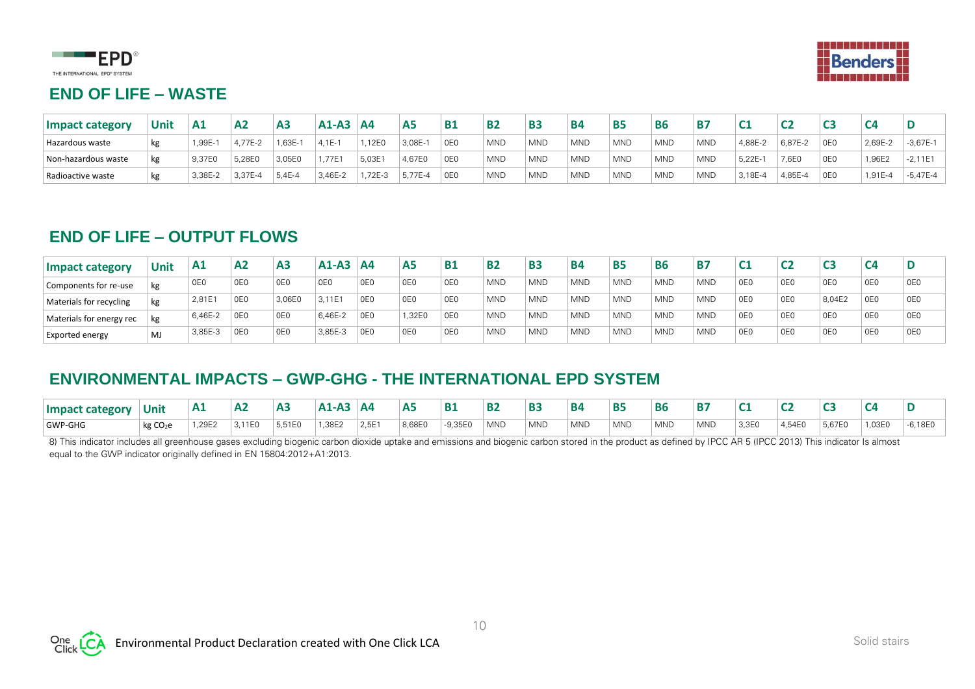



#### **END OF LIFE – WASTE**

| <b>Impact category</b> | Unit | Α1      | A <sub>2</sub> | A <sub>3</sub> | $A1-A3$  | <b>A4</b> | A <sub>5</sub> | <b>B1</b>       | <b>B2</b>  | <b>B3</b>  | <b>B4</b>  | <b>B5</b>  | <b>B6</b>  | Β7         |           |           |                 |         |            |
|------------------------|------|---------|----------------|----------------|----------|-----------|----------------|-----------------|------------|------------|------------|------------|------------|------------|-----------|-----------|-----------------|---------|------------|
| Hazardous waste        |      | ,99E-1  | $4.77E - 2$    | ,63E           | $4.1E -$ | ,12E0     | 3,08E-         | 0E <sub>0</sub> | <b>MND</b> | <b>MND</b> | <b>MND</b> | <b>MND</b> | <b>MND</b> | <b>MND</b> | 4,88E-2   | $6,87E-2$ | 0E <sub>0</sub> | 2,69E-2 | $-3,67E-1$ |
| Non-hazardous waste    |      | 9,37E0  | 5,28EC         | 3,05E0         | .77E     | 5,03E     | 4,67E0         | 0E <sub>0</sub> | <b>MND</b> | <b>MND</b> | <b>MND</b> | <b>MND</b> | <b>MND</b> | <b>MND</b> | $5,22E -$ | 7,6E0     | 0E <sub>0</sub> | ,96E2   | $-2,11E1$  |
| Radioactive waste      |      | 3,38E-2 | 3,37E-4        | 5,4E-4         | 3,46E-2  | ,72E-3    | $-5,77E-4$     | 0E <sub>0</sub> | <b>MND</b> | <b>MND</b> | <b>MND</b> | <b>MND</b> | <b>MND</b> | <b>MND</b> | 3,18E-4   | 4,85E-4   | 0E <sub>0</sub> | ,91E-4  | $-5,47E-4$ |

#### **END OF LIFE – OUTPUT FLOWS**

| Impact category          | <b>Unit</b> | A1              | A <sub>2</sub> | A <sub>3</sub>  | $A1-A3$ | <b>A4</b>       | <b>A5</b>       | <b>B1</b>       | <b>B2</b>  | <b>B3</b>  | <b>B4</b>  | <b>B5</b>  | <b>B6</b>        | <b>B7</b>  | C <sub>1</sub>  |                 |        | C <sub>4</sub>  |     |
|--------------------------|-------------|-----------------|----------------|-----------------|---------|-----------------|-----------------|-----------------|------------|------------|------------|------------|------------------|------------|-----------------|-----------------|--------|-----------------|-----|
| Components for re-use    | kg          | 0E <sub>0</sub> | 0E0            | 0E0             | 0E0     | OE <sub>0</sub> | 0E <sub>0</sub> | 0E <sub>0</sub> | <b>MND</b> | <b>MND</b> | <b>MND</b> | <b>MND</b> | <b>MND</b>       | <b>MND</b> | OE <sub>0</sub> | 0E0             | 0E0    | OE0             | 0E0 |
| Materials for recycling  |             | 2,81E           | 0E0            | 3,06E0          | 3,11E1  | OE0             | 0E <sub>0</sub> | 0E <sub>0</sub> | <b>MND</b> | <b>MND</b> | <b>MND</b> | <b>MND</b> | <sup>1</sup> MND | <b>MND</b> | OE <sub>0</sub> | 0E <sub>0</sub> | 8,04E2 | 0E0             | 0E0 |
| Materials for energy rec |             | 6.46E-2         | 0E0            | 0E0             | 6,46E-2 | 0E0             | 1,32E0          | 0E0             | <b>MND</b> | <b>MND</b> | <b>MND</b> | <b>MND</b> | <sup>1</sup> MND | <b>MND</b> | OE <sub>0</sub> | 0E0             | 0E0    | 0E0             | 0E0 |
| Exported energy          | MJ          | 3.85E-3         | 0E0            | 0E <sub>0</sub> | 3,85E-3 | 0E0             | 0E <sub>0</sub> | 0E <sub>0</sub> | <b>MND</b> | <b>MND</b> | <b>MND</b> | <b>MND</b> | <sup>1</sup> MND | <b>MND</b> | 0E <sub>0</sub> | 0E0             | 0E0    | 0E <sub>0</sub> | 0E0 |

### **ENVIRONMENTAL IMPACTS – GWP-GHG - THE INTERNATIONAL EPD SYSTEM**

| <b>Impact category</b> | Unit                 | A <sub>1</sub> | А2     | <b>A:</b> | <b>A1-A.</b> | <b>A4</b> |        | <b>B</b>  | D7         | B <sub>3</sub> | <b>B4</b>  | <b>B5</b>  | <b>B6</b>  | B.         |       |        |        |        |           |
|------------------------|----------------------|----------------|--------|-----------|--------------|-----------|--------|-----------|------------|----------------|------------|------------|------------|------------|-------|--------|--------|--------|-----------|
| GWP-GHG                | kg CO <sub>2</sub> e | ,29E2          | 3.11E0 | 5.51E0    | 1.38E2       | 2.5E      | 8.68E0 | $-9.35E0$ | <b>MND</b> | <b>MND</b>     | <b>MND</b> | <b>MND</b> | <b>MND</b> | <b>MND</b> | 3,3E0 | 4.54E0 | 5.67E0 | 1.03E0 | $-6.18E0$ |

8) This indicator includes all greenhouse gases excluding biogenic carbon dioxide uptake and emissions and biogenic carbon stored in the product as defined by IPCC AR 5 (IPCC 2013) This indicator Is almost equal to the GWP indicator originally defined in EN 15804:2012+A1:2013.

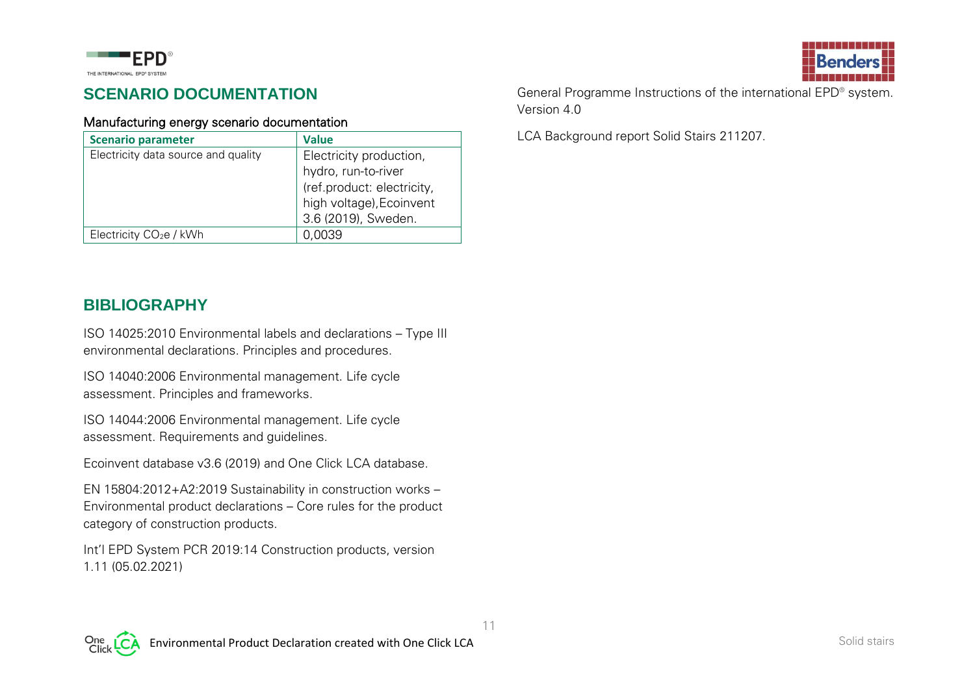

### **SCENARIO DOCUMENTATION**

#### Manufacturing energy scenario documentation

| <b>Scenario parameter</b>           | <b>Value</b>               |
|-------------------------------------|----------------------------|
| Electricity data source and quality | Electricity production,    |
|                                     | hydro, run-to-river        |
|                                     | (ref.product: electricity, |
|                                     | high voltage), Ecoinvent   |
|                                     | 3.6 (2019), Sweden.        |
| Electricity CO <sub>2</sub> e / kWh | 0,0039                     |

**BIBLIOGRAPHY**

ISO 14025:2010 Environmental labels and declarations – Type III environmental declarations. Principles and procedures.

ISO 14040:2006 Environmental management. Life cycle assessment. Principles and frameworks.

ISO 14044:2006 Environmental management. Life cycle assessment. Requirements and guidelines.

Ecoinvent database v3.6 (2019) and One Click LCA database.

EN 15804:2012+A2:2019 Sustainability in construction works – Environmental product declarations – Core rules for the product category of construction products.

Int'l EPD System PCR 2019:14 Construction products, version 1.11 (05.02.2021)



General Programme Instructions of the international EPD® system. Version 4.0

LCA Background report Solid Stairs 211207.

11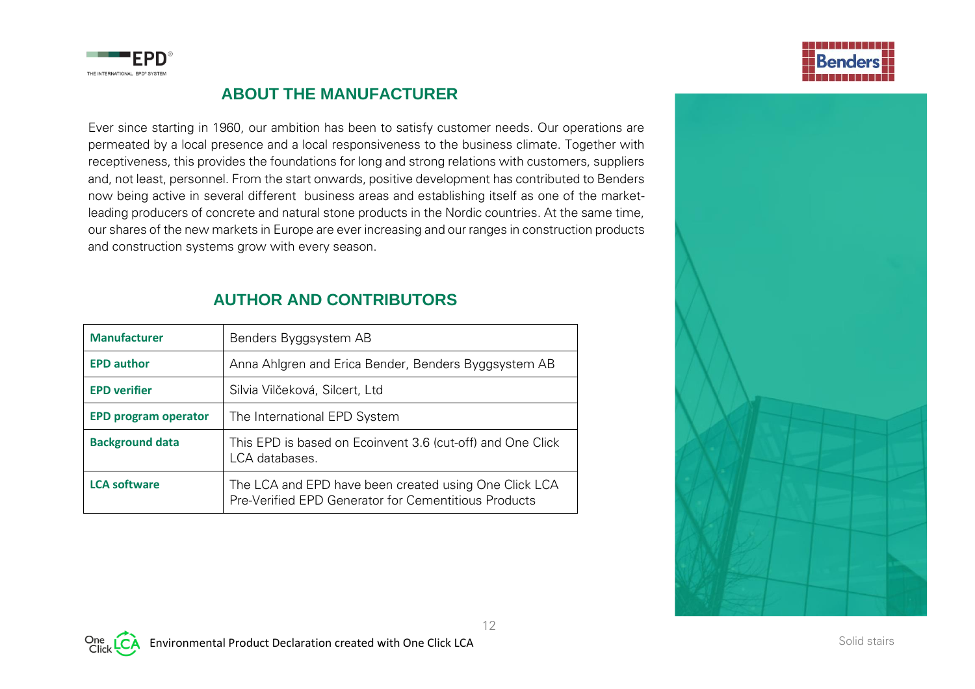

#### **ABOUT THE MANUFACTURER**

Ever since starting in 1960, our ambition has been to satisfy customer needs. Our operations are permeated by a local presence and a local responsiveness to the business climate. Together with receptiveness, this provides the foundations for long and strong relations with customers, suppliers and, not least, personnel. From the start onwards, positive development has contributed to Benders now being active in several different business areas and establishing itself as one of the marketleading producers of concrete and natural stone products in the Nordic countries. At the same time, our shares of the new markets in Europe are ever increasing and our ranges in construction products and construction systems grow with every season.

#### **AUTHOR AND CONTRIBUTORS**

| <b>Manufacturer</b>         | Benders Byggsystem AB                                                                                         |  |  |  |  |  |  |  |
|-----------------------------|---------------------------------------------------------------------------------------------------------------|--|--|--|--|--|--|--|
| <b>EPD author</b>           | Anna Ahlgren and Erica Bender, Benders Byggsystem AB                                                          |  |  |  |  |  |  |  |
| <b>EPD verifier</b>         | Silvia Vilčeková, Silcert, Ltd                                                                                |  |  |  |  |  |  |  |
| <b>EPD program operator</b> | The International EPD System                                                                                  |  |  |  |  |  |  |  |
| <b>Background data</b>      | This EPD is based on Ecoinvent 3.6 (cut-off) and One Click<br>LCA databases.                                  |  |  |  |  |  |  |  |
| <b>LCA software</b>         | The LCA and EPD have been created using One Click LCA<br>Pre-Verified EPD Generator for Cementitious Products |  |  |  |  |  |  |  |





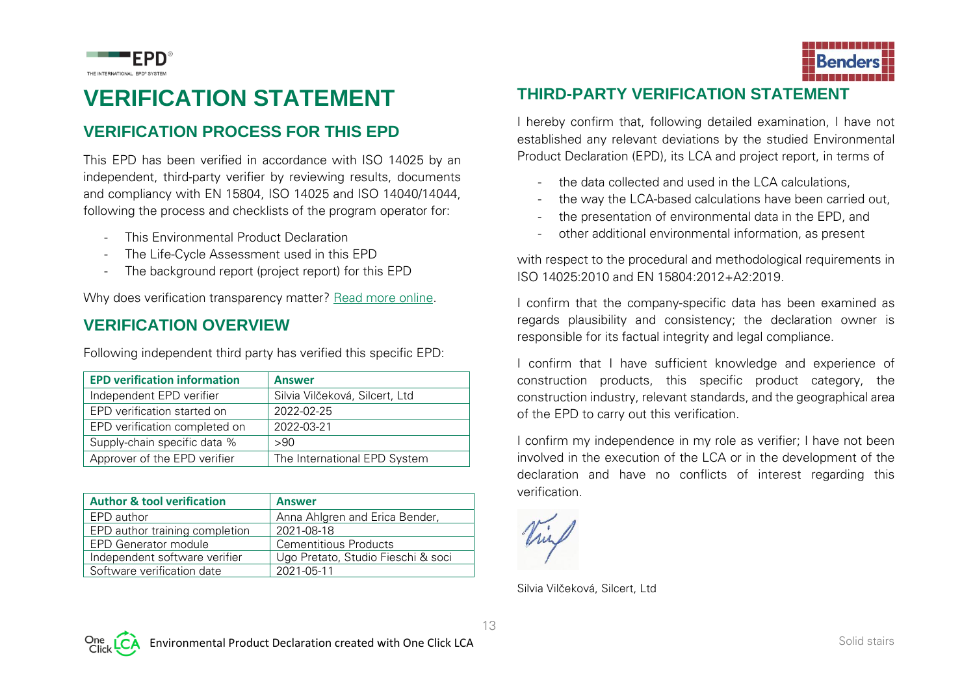

### **VERIFICATION STATEMENT**

#### **VERIFICATION PROCESS FOR THIS EPD**

This EPD has been verified in accordance with ISO 14025 by an independent, third-party verifier by reviewing results, documents and compliancy with EN 15804, ISO 14025 and ISO 14040/14044, following the process and checklists of the program operator for:

- This Environmental Product Declaration
- The Life-Cycle Assessment used in this EPD
- The background report (project report) for this EPD

Why does verification transparency matter? [Read more online.](http://www.oneclicklca.com/why-epd-verification-transparency-matters)

#### **VERIFICATION OVERVIEW**

Following independent third party has verified this specific EPD:

| <b>EPD verification information</b> | <b>Answer</b>                  |
|-------------------------------------|--------------------------------|
| Independent EPD verifier            | Silvia Vilčeková, Silcert, Ltd |
| EPD verification started on         | 2022-02-25                     |
| EPD verification completed on       | 2022-03-21                     |
| Supply-chain specific data %        | >90                            |
| Approver of the EPD verifier        | The International EPD System   |

| <b>Author &amp; tool verification</b> | <b>Answer</b>                      |
|---------------------------------------|------------------------------------|
| EPD author                            | Anna Ahlgren and Erica Bender,     |
| EPD author training completion        | 2021-08-18                         |
| <b>EPD Generator module</b>           | Cementitious Products              |
| Independent software verifier         | Ugo Pretato, Studio Fieschi & soci |
| Software verification date            | 2021-05-11                         |



#### **THIRD-PARTY VERIFICATION STATEMENT**

I hereby confirm that, following detailed examination, I have not established any relevant deviations by the studied Environmental Product Declaration (EPD), its LCA and project report, in terms of

- the data collected and used in the LCA calculations.
- the way the LCA-based calculations have been carried out,
- the presentation of environmental data in the EPD, and
- other additional environmental information, as present

with respect to the procedural and methodological requirements in ISO 14025:2010 and EN 15804:2012+A2:2019.

I confirm that the company-specific data has been examined as regards plausibility and consistency; the declaration owner is responsible for its factual integrity and legal compliance.

I confirm that I have sufficient knowledge and experience of construction products, this specific product category, the construction industry, relevant standards, and the geographical area of the EPD to carry out this verification.

I confirm my independence in my role as verifier; I have not been involved in the execution of the LCA or in the development of the declaration and have no conflicts of interest regarding this verification.

Silvia Vilčeková, Silcert, Ltd

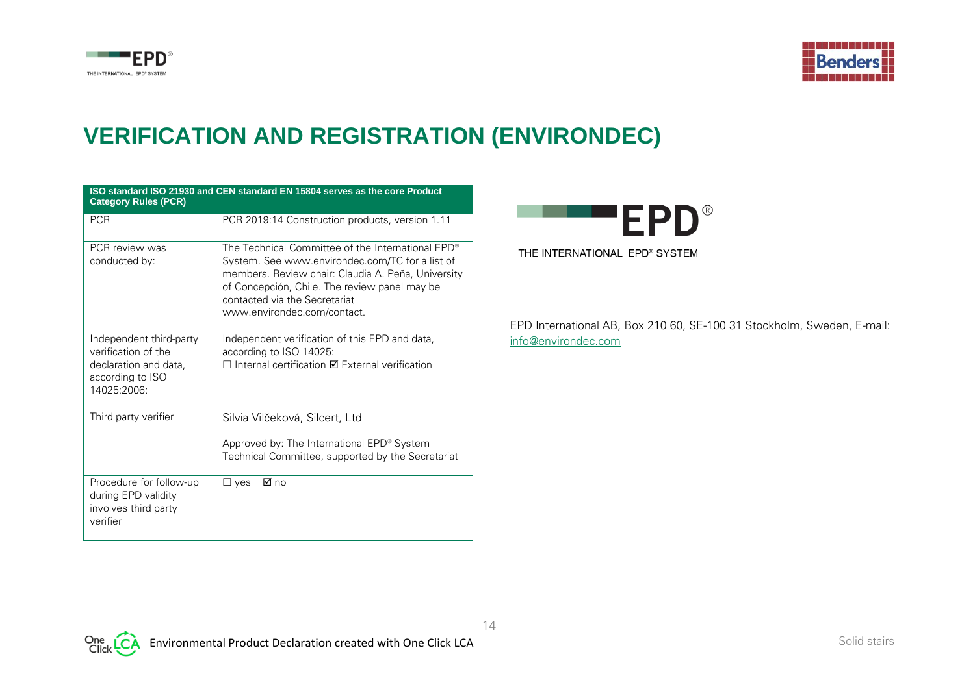



# **VERIFICATION AND REGISTRATION (ENVIRONDEC)**

| <b>Category Rules (PCR)</b>                                                                                | ISO standard ISO 21930 and CEN standard EN 15804 serves as the core Product                                                                                                                                                                                                             |
|------------------------------------------------------------------------------------------------------------|-----------------------------------------------------------------------------------------------------------------------------------------------------------------------------------------------------------------------------------------------------------------------------------------|
| <b>PCR</b>                                                                                                 | PCR 2019:14 Construction products, version 1.11                                                                                                                                                                                                                                         |
| PCR review was<br>conducted by:                                                                            | The Technical Committee of the International EPD <sup>®</sup><br>System. See www.environdec.com/TC for a list of<br>members. Review chair: Claudia A. Peña, University<br>of Concepción, Chile. The review panel may be<br>contacted via the Secretariat<br>www.environdec.com/contact. |
| Independent third-party<br>verification of the<br>declaration and data,<br>according to ISO<br>14025:2006: | Independent verification of this EPD and data,<br>according to ISO 14025:<br>$\Box$ Internal certification $\boxtimes$ External verification                                                                                                                                            |
| Third party verifier                                                                                       | Silvia Vilčeková, Silcert, Ltd                                                                                                                                                                                                                                                          |
|                                                                                                            | Approved by: The International EPD® System<br>Technical Committee, supported by the Secretariat                                                                                                                                                                                         |
| Procedure for follow-up<br>during EPD validity<br>involves third party<br>verifier                         | ⊠ no<br>$\square$ ves                                                                                                                                                                                                                                                                   |



EPD International AB, Box 210 60, SE-100 31 Stockholm, Sweden, E-mail: [info@environdec.com](mailto:info@environdec.com)